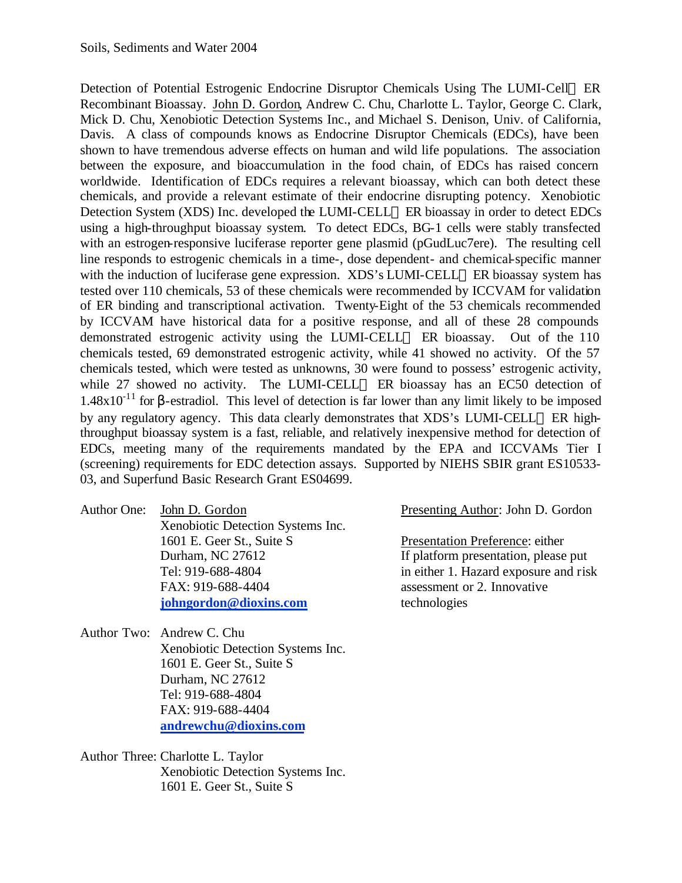Detection of Potential Estrogenic Endocrine Disruptor Chemicals Using The LUMI-Cell<sup>TM</sup> ER Recombinant Bioassay. John D. Gordon, Andrew C. Chu, Charlotte L. Taylor, George C. Clark, Mick D. Chu, Xenobiotic Detection Systems Inc., and Michael S. Denison, Univ. of California, Davis. A class of compounds knows as Endocrine Disruptor Chemicals (EDCs), have been shown to have tremendous adverse effects on human and wild life populations. The association between the exposure, and bioaccumulation in the food chain, of EDCs has raised concern worldwide. Identification of EDCs requires a relevant bioassay, which can both detect these chemicals, and provide a relevant estimate of their endocrine disrupting potency. Xenobiotic Detection System (XDS) Inc. developed the LUMI-CELL<sup>TM</sup> ER bioassay in order to detect EDCs using a high-throughput bioassay system. To detect EDCs, BG-1 cells were stably transfected with an estrogen-responsive luciferase reporter gene plasmid (pGudLuc7ere). The resulting cell line responds to estrogenic chemicals in a time-, dose dependent- and chemical-specific manner with the induction of luciferase gene expression.  $XDS's LUMI-CELL<sup>TM</sup> ER bioassay system has$ tested over 110 chemicals, 53 of these chemicals were recommended by ICCVAM for validation of ER binding and transcriptional activation. Twenty-Eight of the 53 chemicals recommended by ICCVAM have historical data for a positive response, and all of these 28 compounds demonstrated estrogenic activity using the LUMI-CELL<sup> $M$ </sup> ER bioassay. Out of the 110 chemicals tested, 69 demonstrated estrogenic activity, while 41 showed no activity. Of the 57 chemicals tested, which were tested as unknowns, 30 were found to possess' estrogenic activity, while 27 showed no activity. The LUMI-CELL™ ER bioassay has an EC50 detection of  $1.48x10^{-11}$  for β-estradiol. This level of detection is far lower than any limit likely to be imposed by any regulatory agency. This data clearly demonstrates that XDS's LUMI-CELL<sup>TM</sup> ER highthroughput bioassay system is a fast, reliable, and relatively inexpensive method for detection of EDCs, meeting many of the requirements mandated by the EPA and ICCVAMs Tier I (screening) requirements for EDC detection assays. Supported by NIEHS SBIR grant ES10533- 03, and Superfund Basic Research Grant ES04699.

Author One: John D. Gordon Presenting Author: John D. Gordon Xenobiotic Detection Systems Inc. 1601 E. Geer St., Suite S Presentation Preference: either FAX: 919-688-4404 assessment or 2. Innovative **johngordon@dioxins.com** technologies

Author Two: Andrew C. Chu Xenobiotic Detection Systems Inc. 1601 E. Geer St., Suite S Durham, NC 27612 Tel: 919-688-4804 FAX: 919-688-4404 **andrewchu@dioxins.com**

Author Three: Charlotte L. Taylor Xenobiotic Detection Systems Inc. 1601 E. Geer St., Suite S

Durham, NC 27612 If platform presentation, please put Tel: 919-688-4804 in either 1. Hazard exposure and risk